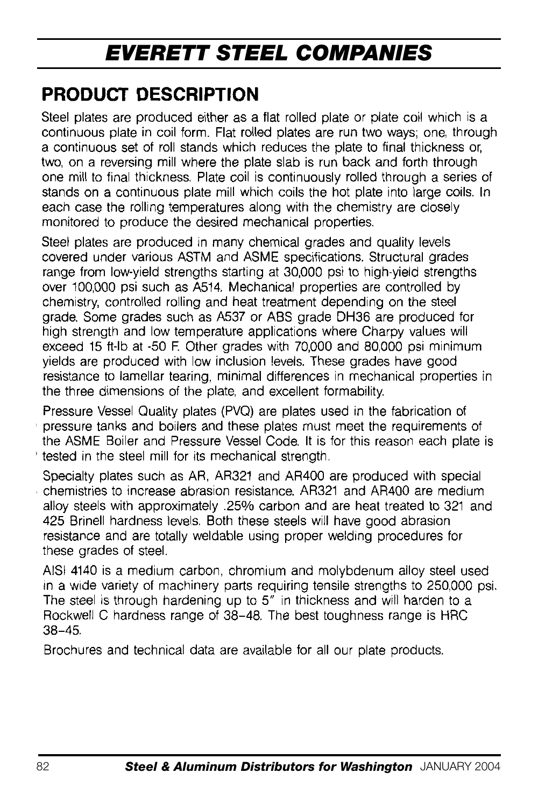## **PRODUCT DESCRIPTION**

Steel plates are produced either as a flat rolled plate or plate coil which is a continuous plate in coil form. Flat rolled plates are run two ways; one, through a continuous set of roll stands which reduces the plate to final thickness or two, on a reversing mill where the plate slab is run back and forth through one mill to final thickness. Plate coil is continuously rolled through a series of stands on a continuous plate mill which coils the hot plate into large coils. In each case the rolling temperatures along with the chemistry are closely monitored to produce the desired mechanical properties.

Steel plates are produced in many chemical grades and quality levels covered under various ASTM and ASME specifications. Structural grades range from low-yield strengths starting at 30,000 psi to high-yield strengths over 100,000 psi such as A514. Mechanical properties are controlled by chemistry, controlled rolling and heat treatment depending on the steel grade. Some grades such as A537 or ABS grade DH36 are produced for high strength and low temperature applications where Charpy values will exceed 15 ft-lb at -50 F. Other grades with 70,000 and 80,000 psi minimum yields are produced with low inclusion levels. These grades have good resistance to lamellar tearing, minimal differences in mechanical properties in the three dimensions of the plate, and excellent formability.

Pressure Vessel Quality plates (PVQ) are plates used in the fabrication of pressure tanks and boilers and these plates must meet the requirements of the ASME Boiler and Pressure Vessel Code. It is for this reason each plate is tested in the steel mill for its mechanical strength.

Specialty plates such as AR, AR321 and AR400 are produced with special chemistries to increase abrasion resistance. AR321 and AR400 are medium alloy steels with approximately .25% carbon and are heat treated to 321 and 425 Brinell hardness levels. Both these steels will have good abrasion resistance and are totally weldable using proper welding procedures for these grades of steel.

AISI 4140 is a medium carbon, chromium and molybdenum alloy steel used in a wide variety of machinery parts requiring tensile strengths to 250,000 psi. The steel is through hardening up to 5" in thickness and will harden to a Rockwell C hardness range of 38-48. The best toughness range is HRC  $38 - 45$ 

Brochures and technical data are available for all our plate products.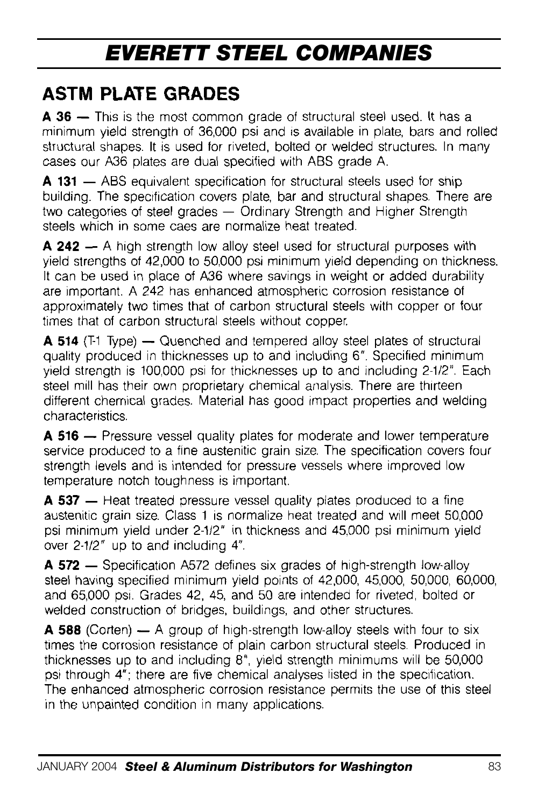## **ASTM PLATE GRADES**

A 36 - This is the most common grade of structural steel used. It has a minimum yield strength of 36,000 psi and is available in plate, bars and rolled structural shapes. It is used for riveted, bolted or welded structures. In many cases our A36 plates are dual specified with ABS grade A.

A 131 - ABS equivalent specification for structural steels used for ship building. The specification covers plate, bar and structural shapes. There are two categories of steel grades - Ordinary Strength and Higher Strength steels which in some caes are normalize heat treated.

A 242 - A high strength low alloy steel used for structural purposes with yield strengths of 42,000 to 50,000 psi minimum yield depending on thickness. It can be used in place of A36 where savings in weight or added durability are important. A 242 has enhanced atmospheric corrosion resistance of approximately two times that of carbon structural steels with copper or four times that of carbon structural steels without copper.

**A 514** (T1 Type) — Quenched and tempered alloy steel plates of structural quality produced in thicknesses up to and including 6". Specified minimum yield strength is 100,000 psi for thicknesses up to and including 2-1/2". Each steel mill has their own proprietary chemical analysis. There are thirteen different chemical grades. Material has good impact properties and welding characteristics.

**A 516** - Pressure vessel quality plates for moderate and lower temperature service produced to a fine austenitic grain size. The specification covers four strength levels and is intended for pressure vessels where improved low temperature notch toughness is important.

A 537 - Heat treated pressure vessel quality plates produced to a fine austenitic grain size. Class 1 is normalize heat treated and will meet 50,000 psi minimum yield under 2-1/2" in thickness and 45,000 psi minimum yield over 2-1/2" up to and including 4".

A 572 - Specification A572 defines six grades of high-strength low-alloy steel having specified minimum yield points of 42,000, 45,000, 50,000, 60,000, and 65,000 psi. Grades 42, 45, and 50 are intended for riveted, bolted or welded construction of bridges, buildings, and other structures.

**A 588** (Corten) — A group of high-strength low-alloy steels with four to six times the corrosion resistance of plain carbon structural steels. Produced in thicknesses up to and including 8", yield strength minimums will be 50,000 psi through 4"; there are five chemical analyses listed in the specification. The enhanced atmospheric corrosion resistance permits the use of this steel in the unpainted condition in many applications.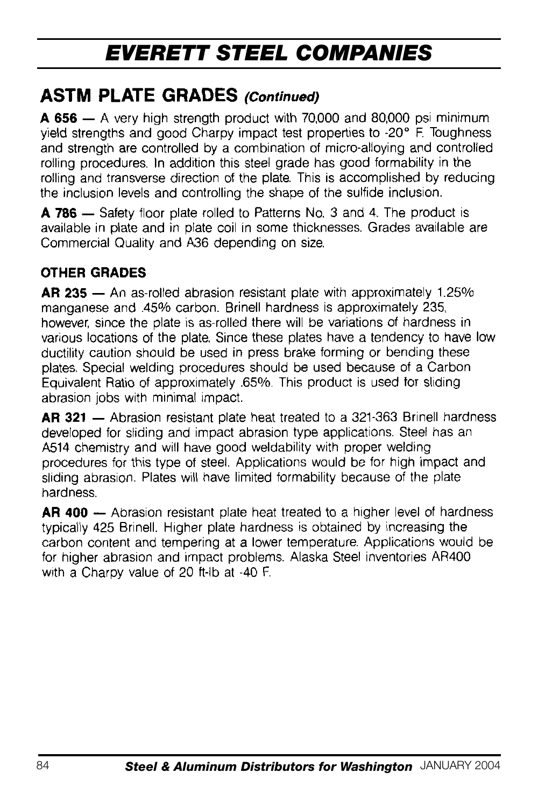### **ASTM PLATE GRADES (Continued)**

A 656 - A very high strength product with 70,000 and 80,000 psi minimum vield strengths and good Charpy impact test properties to -20° F. Toughness and strength are controlled by a combination of micro-alloying and controlled rolling procedures. In addition this steel grade has good formability in the rolling and transverse direction of the plate. This is accomplished by reducing the inclusion levels and controlling the shape of the sulfide inclusion.

A 786 - Safety floor plate rolled to Patterns No. 3 and 4. The product is available in plate and in plate coil in some thicknesses. Grades available are Commercial Quality and A36 depending on size.

### **OTHER GRADES**

AR 235 - An as-rolled abrasion resistant plate with approximately 1.25% manganese and .45% carbon. Brinell hardness is approximately 235. however, since the plate is as-rolled there will be variations of hardness in various locations of the plate. Since these plates have a tendency to have low ductility caution should be used in press brake forming or bending these plates. Special welding procedures should be used because of a Carbon Equivalent Ratio of approximately .65%. This product is used for sliding abrasion jobs with minimal impact.

AR 321 - Abrasion resistant plate heat treated to a 321-363 Brinell hardness developed for sliding and impact abrasion type applications. Steel has an A514 chemistry and will have good weldability with proper welding procedures for this type of steel. Applications would be for high impact and sliding abrasion. Plates will have limited formability because of the plate hardness

AR 400 - Abrasion resistant plate heat treated to a higher level of hardness typically 425 Brinell. Higher plate hardness is obtained by increasing the carbon content and tempering at a lower temperature. Applications would be for higher abrasion and impact problems. Alaska Steel inventories AR400 with a Charpy value of 20 ft-lb at -40 F.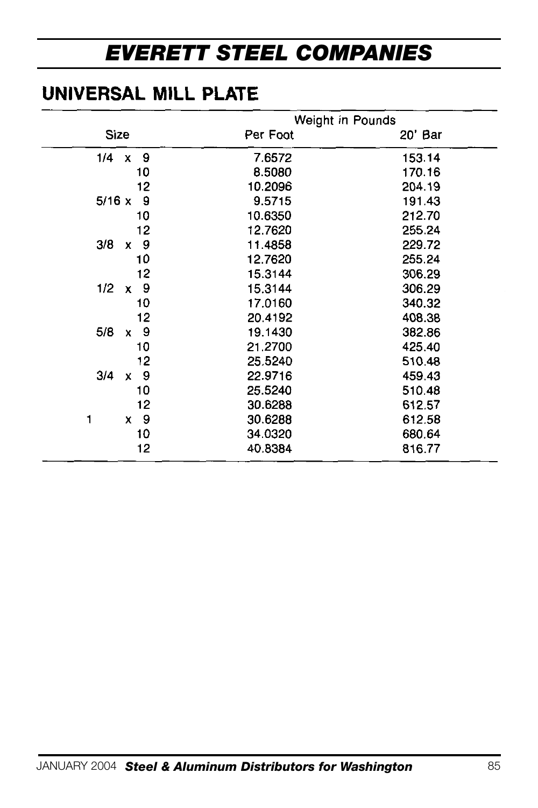## UNIVERSAL MILL PLATE

|               | Weight in Pounds |         |  |
|---------------|------------------|---------|--|
| Size          | Per Foot         | 20' Bar |  |
| 9<br>1/4<br>x | 7.6572           | 153.14  |  |
| 10            | 8.5080           | 170.16  |  |
| 12            | 10.2096          | 204.19  |  |
| 9<br>5/16x    | 9.5715           | 191.43  |  |
| 10            | 10.6350          | 212.70  |  |
| 12            | 12.7620          | 255.24  |  |
| 9<br>3/8<br>x | 11.4858          | 229.72  |  |
| 10            | 12.7620          | 255.24  |  |
| 12            | 15.3144          | 306.29  |  |
| 1/2<br>9<br>x | 15.3144          | 306.29  |  |
| 10            | 17.0160          | 340.32  |  |
| 12            | 20.4192          | 408.38  |  |
| 5/8<br>9<br>x | 19.1430          | 382.86  |  |
| 10            | 21.2700          | 425.40  |  |
| 12            | 25.5240          | 510.48  |  |
| 3/4<br>9<br>x | 22.9716          | 459.43  |  |
| 10            | 25.5240          | 510.48  |  |
| 12            | 30.6288          | 612.57  |  |
| 9<br>1<br>x   | 30.6288          | 612.58  |  |
| 10            | 34.0320          | 680.64  |  |
| 12            | 40.8384          | 816.77  |  |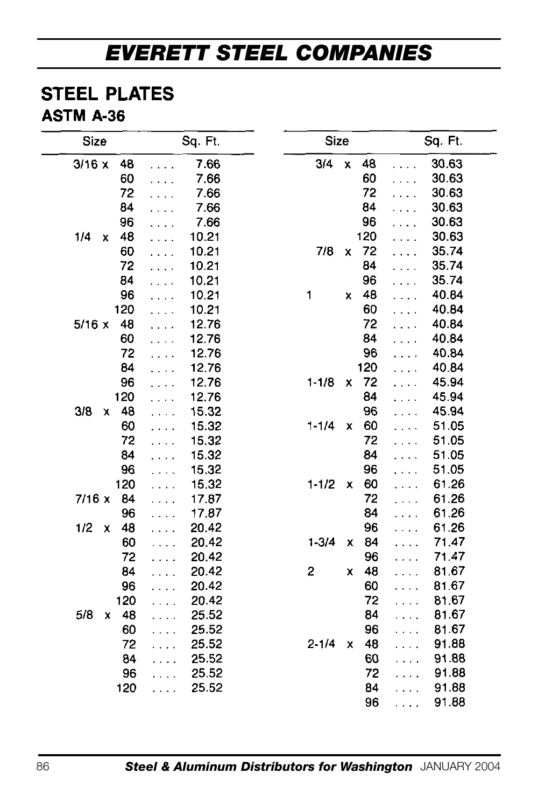### **STEEL PLATES**

### ASTM A-36

| Size           | Sq. Ft.                       | Size                 | Sq. Ft.                       |
|----------------|-------------------------------|----------------------|-------------------------------|
| 3/16x<br>48    | 7.66<br>.                     | 3/4<br>X<br>48       | 30.63<br>.                    |
| 60             | 7.66<br>.                     | 60                   | 30.63<br>.                    |
| 72             | 7.66                          | 72                   | 30.63<br>.                    |
| 84             | 7.66                          | 84                   | 30.63                         |
| 96             | 7.66                          | 96                   | 30.63                         |
| 1/4<br>48<br>x | 10.21                         | 120                  | 30.63                         |
| 60             | 10.21<br>.                    | 7/8<br>72<br>x       | 35.74                         |
| 72             | 10.21<br>.                    | 84                   | 35.74<br>.                    |
| 84             | 10.21<br>.                    | 96                   | 35.74<br>.                    |
| 96             | 10.21<br>.                    | 48<br>1<br>x         | 40.84                         |
| 120            | 10.21<br>.                    | 60                   | 40.84<br>.                    |
| 5/16x<br>48    | 12.76<br>.                    | 72                   | 40.84                         |
| 60             | 12.76<br>.                    | 84                   | 40.84<br>.                    |
| 72             | 12.76<br>.                    | 96                   | 40.84                         |
| 84             | 12.76                         | 120                  | 40.84                         |
| 96             | 12.76                         | $1 - 1/8$<br>72<br>x | 45.94<br>$\ddot{\phantom{0}}$ |
| 120            | 12.76<br>.                    | 84                   | 45.94<br>$\ddot{\phantom{a}}$ |
| 3/8<br>48<br>x | 15.32<br>.                    | 96                   | 45.94<br>$\ddot{\phantom{0}}$ |
| 60             | 15.32                         | 60<br>$1 - 1/4$<br>x | 51.05<br>$\sim$ $\sim$        |
| 72             | 15.32                         | 72                   | 51.05<br>$\ddot{\phantom{1}}$ |
| 84             | 15.32<br>$\ddot{\phantom{a}}$ | 84                   | 51.05<br>$\ddot{\phantom{0}}$ |
| 96             | 15.32                         | 96                   | 51.05<br>$\ddot{\phantom{0}}$ |
| 120            | 15.32<br>.                    | $1 - 1/2$<br>60<br>x | 61.26<br>$\ddot{\phantom{a}}$ |
| 7/16x<br>84    | 17.87                         | 72                   | 61.26<br>.                    |
| 96             | 17.87<br>.                    | 84                   | 61.26<br>.                    |
| 1/2<br>48<br>x | 20.42<br>.                    | 96                   | 61.26<br>.                    |
| 60             | 20.42<br>.                    | $1 - 3/4$<br>84<br>x | 71.47<br>.                    |
| 72             | 20.42<br>.                    | 96                   | 71.47<br>.                    |
| 84             | 20.42<br>$\cdots$             | 2<br>48<br>x         | 81.67<br>.                    |
| 96             | 20.42<br>.                    | 60                   | 81.67<br>.                    |
| 120            | 20.42<br>.                    | 72                   | 81.67<br>.                    |
| 5/8<br>48<br>x | 25.52                         | 84                   | 81.67<br>$\ddot{\phantom{0}}$ |
| 60             | 25.52<br>$\ddot{\phantom{0}}$ | 96                   | 81.67<br>.                    |
| 72             | 25.52                         | $2 - 1/4$<br>48<br>X | 91.88                         |
| 84             | 25.52                         | 60                   | 91.88<br>$\ddotsc$            |
| 96             | 25.52                         | 72                   | 91.88                         |
| 120            | 25.52<br>.                    | 84                   | 91.88<br>.                    |
|                |                               | 96                   | 91.88<br>.                    |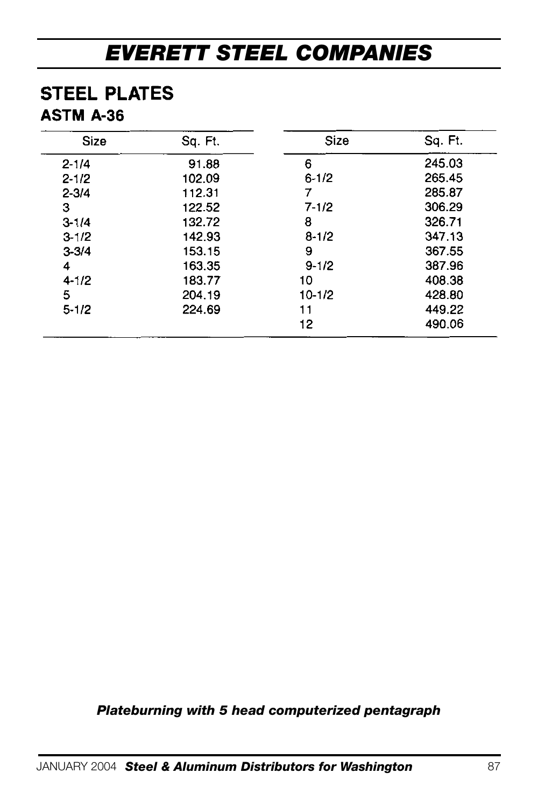### **STEEL PLATES ASTM A-36**

| Size      | Sq. Ft. | Size       | Sq. Ft. |
|-----------|---------|------------|---------|
| $2 - 1/4$ | 91.88   | 6          | 245.03  |
| $2 - 1/2$ | 102.09  | $6 - 1/2$  | 265.45  |
| $2 - 3/4$ | 112.31  |            | 285.87  |
| з         | 122.52  | $7 - 1/2$  | 306.29  |
| $3 - 1/4$ | 132.72  | 8          | 326.71  |
| $3 - 1/2$ | 142.93  | $8 - 1/2$  | 347.13  |
| $3 - 3/4$ | 153.15  | 9          | 367.55  |
| 4         | 163.35  | $9 - 1/2$  | 387.96  |
| $4 - 1/2$ | 183.77  | 10         | 408.38  |
| 5         | 204.19  | $10 - 1/2$ | 428.80  |
| $5 - 1/2$ | 224.69  | 11         | 449.22  |
|           |         | 12         | 490.06  |

*Plateburning with 5 head computerized pentagraph*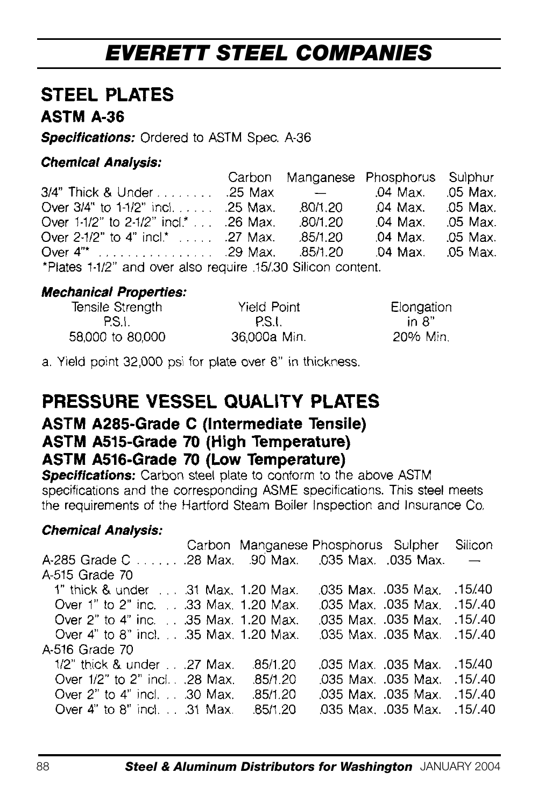### **STEEL PLATES ASTM A-36**

Specifications: Ordered to ASTM Spec. A-36

#### **Chemical Analysis:**

|                                                            |                                   | Carbon Manganese Phosphorus Sulphur |          |
|------------------------------------------------------------|-----------------------------------|-------------------------------------|----------|
| 3/4" Thick & Under 25 Max                                  | <b>Contract Contract Contract</b> | .04 Max. .05 Max.                   |          |
| Over $3/4$ " to $1-1/2$ " incl25 Max.                      | .80/1.20                          | 04 Max. 05 Max.                     |          |
| Over $1.1/2$ " to $2.1/2$ " incl.* 26 Max.                 | .80/1.20                          | .04 Max. .05 Max.                   |          |
| Over $2-1/2$ " to 4" incl.*  .27 Max.                      | .85/1.20                          | .04 Max.                            | .05 Max. |
|                                                            |                                   |                                     |          |
| *Plates 1.1/2" and over also require 15/30 Silicon content |                                   |                                     |          |

#### **Mechanical Properties:**

| Tensile Strength | Yield Point  | Elongation |
|------------------|--------------|------------|
| PS.I.            | P.S.I.       | in 8"      |
| 58,000 to 80,000 | 36,000a Min. | 20% Min.   |

a. Yield point 32,000 psi for plate over 8" in thickness.

### PRESSURE VESSEL QUALITY PLATES

### ASTM A285-Grade C (Intermediate Tensile) ASTM A515-Grade 70 (High Temperature) ASTM A516-Grade 70 (Low Temperature)

**Specifications:** Carbon steel plate to conform to the above ASTM specifications and the corresponding ASME specifications. This steel meets the requirements of the Hartford Steam Boiler Inspection and Insurance Co.

### **Chemical Analysis:**

|                                       |          | Carbon Manganese Phosphorus Sulpher | Silicon                  |
|---------------------------------------|----------|-------------------------------------|--------------------------|
|                                       |          |                                     | $\overline{\phantom{0}}$ |
| A-515 Grade 70                        |          |                                     |                          |
| 1" thick & under 31 Max. 1.20 Max.    |          | .035 Max. .035 Max. .15/40          |                          |
| Over 1" to 2" inc. 33 Max. 1.20 Max.  |          | .035 Max. .035 Max. .15/.40         |                          |
| Over 2" to 4" inc. 35 Max. 1.20 Max.  |          | .035 Max. .035 Max. .15/.40         |                          |
| Over 4" to 8" incl. 35 Max. 1.20 Max. |          | .035 Max. .035 Max. .15/.40         |                          |
| A-516 Grade 70                        |          |                                     |                          |
| $1/2$ " thick & under27 Max.          | .85/1.20 | .035 Max. .035 Max. .15/40          |                          |
| Over 1/2" to 2" incl. 28 Max.         | .85/1.20 | .035 Max. .035 Max. .15/.40         |                          |
| Over 2" to 4" incl. 30 Max.           | .85/1.20 | .035 Max. .035 Max. .15/.40         |                          |
| Over 4" to 8" incl. $\ldots$ 31 Max.  | .85/1.20 | .035 Max. .035 Max. .15/.40         |                          |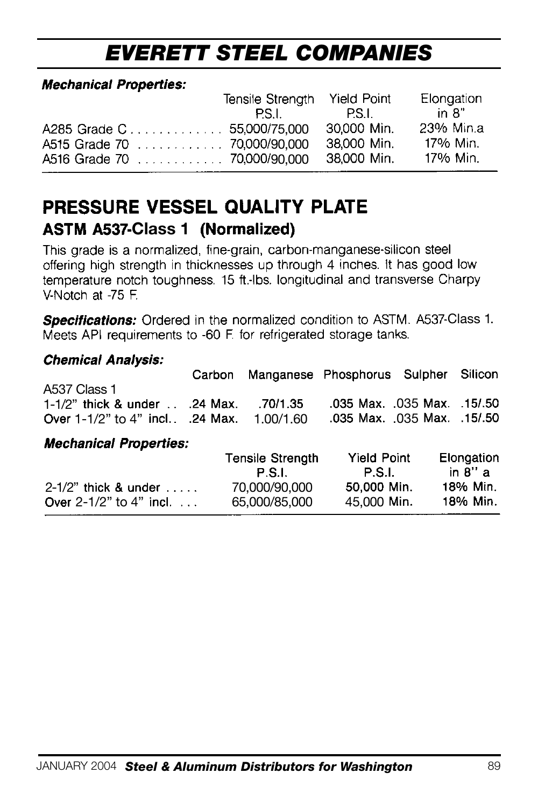#### **Mechanical Properties:**

|                             | Tensile Strenath                                                                                               | Yield Point | Elongation |
|-----------------------------|----------------------------------------------------------------------------------------------------------------|-------------|------------|
|                             | PS Lateration of the set of the set of the set of the set of the set of the set of the set of the set of the s | - P.S.I.    | in 8"      |
| A285 Grade C 55.000/75.000  |                                                                                                                | 30.000 Min. | 23% Min.a  |
| A515 Grade 70 70,000/90,000 |                                                                                                                | 38.000 Min. | 17% Min.   |
|                             |                                                                                                                | 38.000 Min. | 17% Min.   |

### PRESSURE VESSEL QUALITY PLATE **ASTM A537-Class 1 (Normalized)**

This grade is a normalized, fine-grain, carbon-manganese-silicon steel offering high strength in thicknesses up through 4 inches. It has good low<br>temperature notch toughness. 15 ft.-lbs. longitudinal and transverse Charpy V-Notch at -75 F.

Specifications: Ordered in the normalized condition to ASTM. A537-Class 1. Meets API requirements to -60 F. for refrigerated storage tanks.

#### **Chemical Analysis:**

Over  $2-1/2$ " to  $4$ " incl. ...

|                                                                                             |                                   | Carbon Manganese Phosphorus Sulpher Silicon                |                        |
|---------------------------------------------------------------------------------------------|-----------------------------------|------------------------------------------------------------|------------------------|
| A537 Class 1<br>$1-1/2$ " thick & under $\ldots$ .24 Max.<br>Over 1-1/2" to 4" incl 24 Max. | .70/1.35<br>1.00/1.60             | .035 Max. .035 Max. .15/.50<br>.035 Max. .035 Max. .15/.50 |                        |
| <b>Mechanical Properties:</b>                                                               |                                   |                                                            |                        |
|                                                                                             | <b>Tensile Strength</b><br>P.S.I. | <b>Yield Point</b><br>P.S.I.                               | Elongation<br>in 8'' a |
| $2-1/2$ " thick & under $\ldots$                                                            | 70.000/90.000                     | 50.000 Min.                                                | 18% Min.               |

70,000/90,000

65,000/85,000 45,000

18% Min.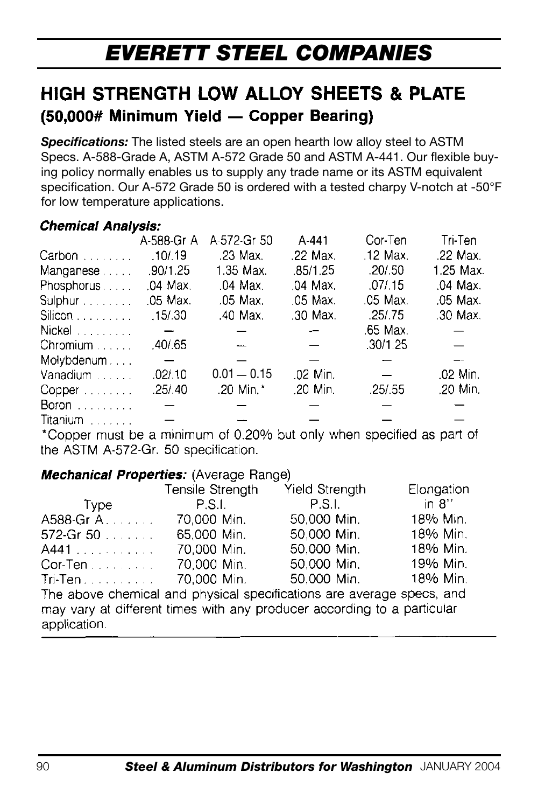## HIGH STRENGTH LOW ALLOY SHEETS & PLATE (50.000# Minimum Yield - Copper Bearing)

*Specifications:* The listed steels are an open hearth low alloy steel to ASTM Specs. A-588-Grade A, ASTM A-572 Grade 50 and ASTM A-441. Our flexible buying policy normally enables us to supply any trade name or its ASTM equivalent specification. Our A-572 Grade 50 is ordered with a tested charpy V-notch at -50°F for low temperature applications.

#### **Chemical Analysis:**

|            | A-588-Gr A               | A-572-Gr 50   | $A - 441$                | Cor-Ten  | Tri-Ten   |
|------------|--------------------------|---------------|--------------------------|----------|-----------|
| Carbon     | .10/.19                  | .23 Max.      | .22 Max.                 | .12 Max. | .22 Max.  |
| Manganese  | .90/1.25                 | 1.35 Max.     | .85/1.25                 | .20/0.50 | 1.25 Max. |
| Phosphorus | .04 Max.                 | .04 Max.      | .04 Max.                 | .07/0.15 | .04 Max.  |
| Sulphur    | .05 Max.                 | .05 Max.      | .05 Max.                 | .05 Max. | .05 Max.  |
| Silicon    | .15/0.30                 | .40 Max.      | .30 Max.                 | .25/.75  | .30 Max.  |
| Nickel     | $\overline{\phantom{a}}$ |               | $\overline{\phantom{m}}$ | .65 Max. |           |
| Chromium   | .40/65                   |               | $\overline{\phantom{m}}$ | .30/1.25 |           |
| Molybdenum | $\overline{\phantom{m}}$ |               |                          |          |           |
| Vanadium   | .02/.10                  | $0.01 - 0.15$ | .02 Min.                 |          | .02 Min.  |
| $Copper$   | .25/0.40                 | .20 Min.*     | .20 Min.                 | .25/0.55 | .20 Min.  |
| Boron      |                          |               |                          |          |           |
| Titanium   |                          |               |                          |          |           |

\*Copper must be a minimum of 0.20% but only when specified as part of the ASTM A-572-Gr. 50 specification.

#### **Mechanical Properties:** (Average Range)

|                | Tensile Strength | <b>Yield Strenath</b>                                                   | Elongation |
|----------------|------------------|-------------------------------------------------------------------------|------------|
| Type           | P.S.I.           | P.S.I.                                                                  | in 8''     |
| A588-Gr A.     | 70.000 Min.      | 50,000 Min.                                                             | 18% Min.   |
| $572$ -Gr $50$ | 65,000 Min.      | 50,000 Min.                                                             | 18% Min.   |
| A441           | 70.000 Min.      | 50.000 Min.                                                             | 18% Min.   |
| $Cor-Ten$      | 70.000 Min.      | 50.000 Min.                                                             | 19% Min.   |
| $Tri-Ten$      | 70,000 Min.      | 50,000 Min.                                                             | 18% Min.   |
|                |                  | The above chemical and physical specifications are average specs, and   |            |
|                |                  | may vary at different times with any producer according to a particular |            |
| application.   |                  |                                                                         |            |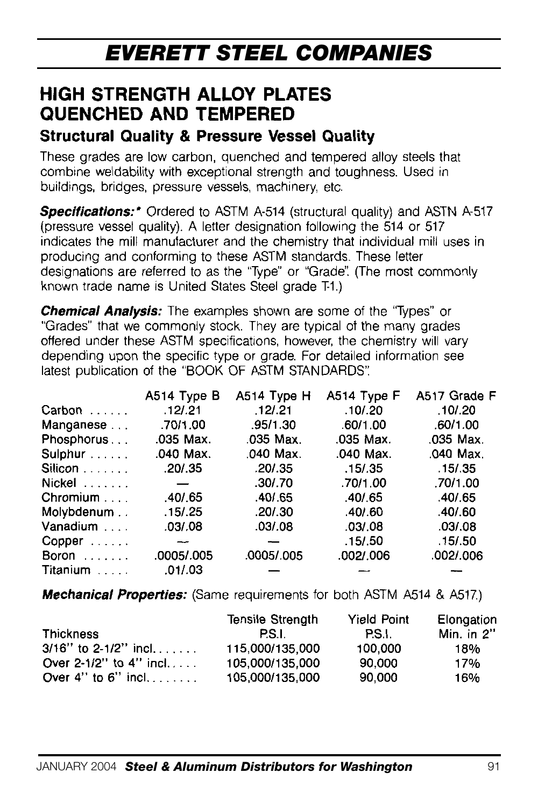## **HIGH STRENGTH ALLOY PLATES QUENCHED AND TEMPERED**

### **Structural Quality & Pressure Vessel Quality**

These grades are low carbon, quenched and tempered alloy steels that combine weldability with exceptional strength and toughness. Used in buildings, bridges, pressure vessels, machinery, etc.

**Specifications:** Ordered to ASTM A-514 (structural quality) and ASTN A-517 (pressure vessel quality). A letter designation following the 514 or 517 indicates the mill manufacturer and the chemistry that individual mill uses in producing and conforming to these ASTM standards. These letter designations are referred to as the "Type" or "Grade". (The most commonly known trade name is United States Steel grade T-1.)

**Chemical Analysis:** The examples shown are some of the "Types" or "Grades" that we commonly stock. They are typical of the many grades offered under these ASTM specifications, however, the chemistry will vary depending upon the specific type or grade. For detailed information see latest publication of the "BOOK OF ASTM STANDARDS".

|            | A514 Type B | A514 Type H | A514 Type F | A517 Grade F |
|------------|-------------|-------------|-------------|--------------|
| Carbon     | .12/0.21    | .12/.21     | .10/.20     | .10/0.20     |
| Manganese  | .70/1.00    | .95/1.30    | .60/1.00    | .60/1.00     |
| Phosphorus | .035 Max.   | .035 Max.   | .035 Max.   | .035 Max.    |
| Sulphur    | .040 Max.   | .040 Max.   | .040 Max.   | .040 Max.    |
| Silicon    | .20/0.35    | .20/0.35    | .15/0.35    | .15/.35      |
| Nickel     |             | .30/.70     | .70/1.00    | .70/1.00     |
| Chromium   | .40/.65     | .40/0.65    | .40/.65     | .40/0.65     |
| Molybdenum | .15/0.25    | .20/0.30    | .40/0.60    | .40/0.60     |
| Vanadium   | .03/.08     | .03/0.08    | .03/0.08    | .03/0.8      |
| $Copper$   |             |             | .15/0.50    | .15/0.50     |
| Boron      | .0005/.005  | .0005/.005  | .002/.006   | .002/006     |
| Titanium   | .01/.03     |             |             |              |

**Mechanical Properties:** (Same requirements for both ASTM A514 & A517.)

|                              | <b>Tensile Strenath</b> | Yield Point | Elongation |
|------------------------------|-------------------------|-------------|------------|
| <b>Thickness</b>             | P.S.I.                  | PS.L        | Min. in 2" |
| $3/16''$ to 2-1/2" incl      | 115.000/135.000         | 100.000     | 18%        |
| Over $2-1/2$ " to $4$ " incl | 105,000/135,000         | 90.000      | 17%        |
| Over $4''$ to $6''$ incl     | 105,000/135,000         | 90.000      | 16%        |